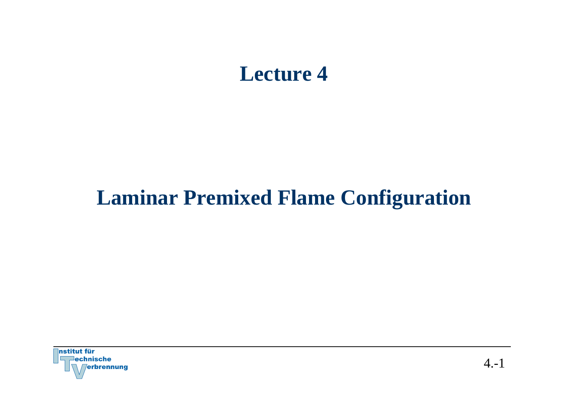## **Lecture 4**

# **Laminar Premixed Flame Configuration**

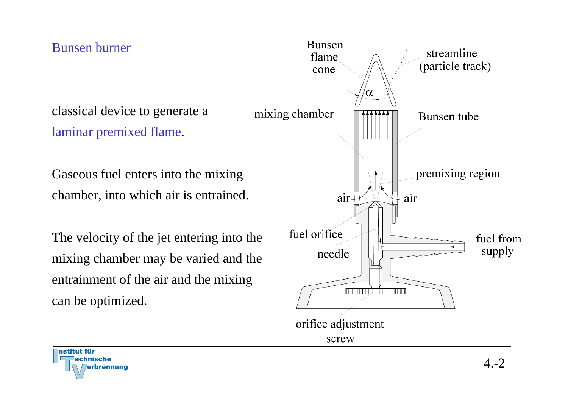Bunsen burner

classical device to generate a laminar premixed flame.

Gaseous fuel enters into the mixing chamber, into which air is entrained.

The velocity of the jet entering into the mixing chamber may be varied and the entrainment of the air and the mixing can be optimized.



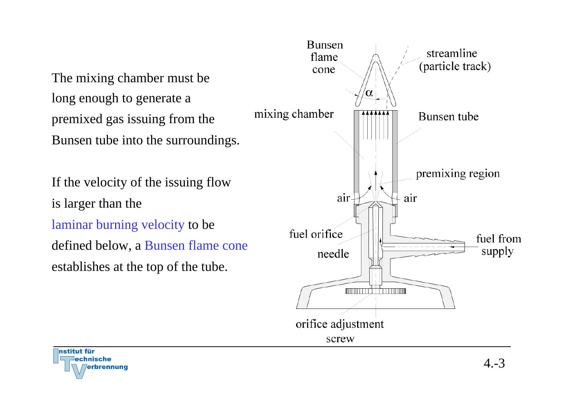The mixing chamber must be long enough to generate a premixed gas issuing from the Bunsen tube into the surroundings.

If the velocity of the issuing flow is larger than the laminar burning velocity to be defined below, a Bunsen flame cone establishes at the top of the tube.



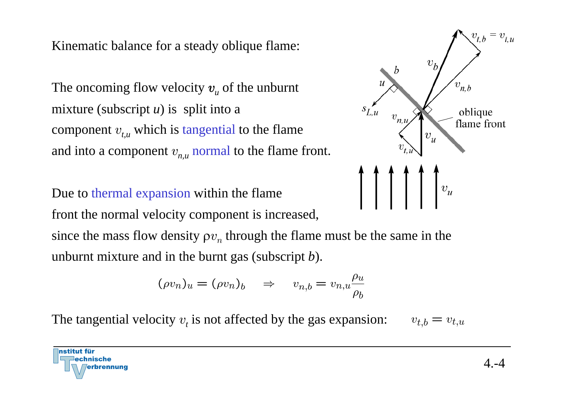Kinematic balance for a steady oblique flame:

The oncoming flow velocity  $v_{\mu}$  of the unburnt mixture (subscript *<sup>u</sup>*) is split into a component  $v_{t,u}$  which is tangential to the flame and into a component  $v_{n,u}$  normal to the flame front.

Due to thermal expansion within the flame

nstitut für

echnische

front the normal velocity component is increased,

since the mass flow density  $\rho v_n$  through the flame must be the same in the unburnt mixture and in the burnt gas (subscript *b*).

$$
(\rho v_n)_u = (\rho v_n)_b \quad \Rightarrow \quad v_{n,b} = v_{n,u} \frac{\rho_u}{\rho_b}
$$

The tangential velocity  $v_t$  is not affected by the gas expansion:  $v_{t,b} = v_{t,u}$ 

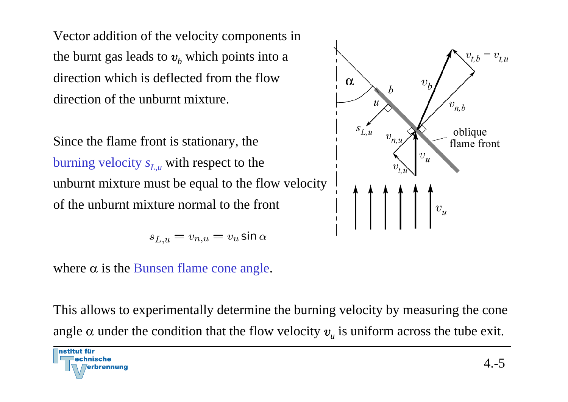Vector addition of the velocity components in the burnt gas leads to  $v_b$  which points into a direction which is deflected from the flow direction of the unburnt mixture.

Since the flame front is stationary, the burning velocity  $s_{L,u}$  with respect to the unburnt mixture must be equal to the flow velocity of the unburnt mixture normal to the front

$$
s_{L,u} = v_{n,u} = v_u \sin \alpha
$$

where  $\alpha$  is the Bunsen flame cone angle.



This allows to experimentally determine the burning velocity by measuring the cone angle  $\alpha$  under the condition that the flow velocity  $v_{_u}$  is uniform across the tube exit.

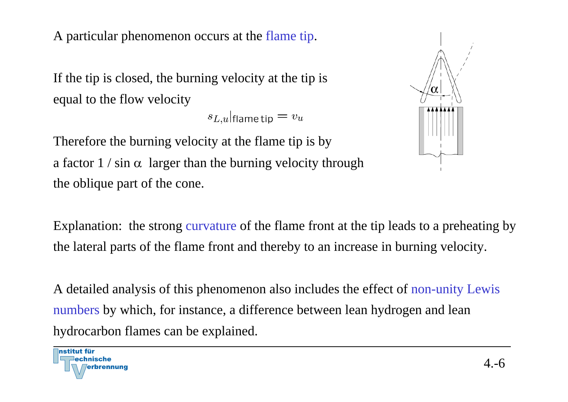A particular phenomenon occurs at the flame tip.

If the tip is closed, the burning velocity at the tip is equal to the flow velocity

 $s_{L,u}$  flame tip  $v_u$ 

Therefore the burning velocity at the flame tip is by a factor  $1 / \sin \alpha$  larger than the burning velocity through the oblique part of the cone.



Explanation: the strong curvature of the flame front at the tip leads to a preheating by the lateral parts of the flame front and thereby to an increase in burning velocity.

A detailed analysis of this phenomenon also includes the effect of non-unity Lewis numbers by which, for instance, a difference between lean hydrogen and lean hydrocarbon flames can be explained.

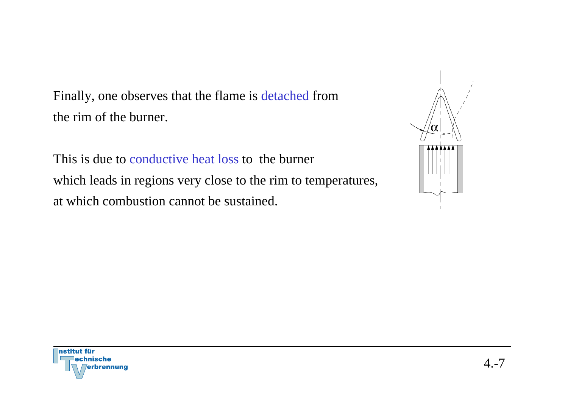Finally, one observes that the flame is detached from the rim of the burner.

This is due to conductive heat loss to the burner which leads in regions very close to the rim to temperatures, at which combustion cannot be sustained.



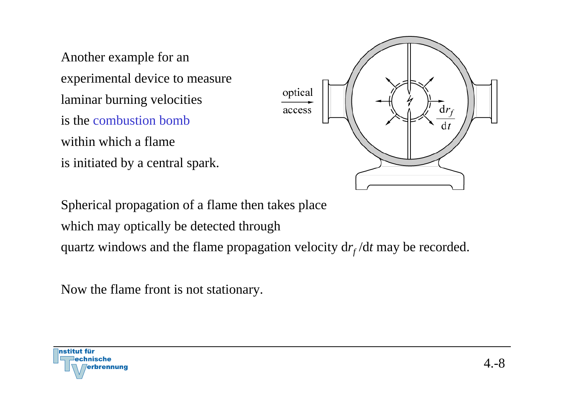Another example for an experimental device to measure laminar burning velocities is the combustion bombwithin which a flame is initiated by a central spark.



Spherical propagation of a flame then takes place which may optically be detected through quartz windows and the flame propagation velocity  $dr_f/dt$  may be recorded.

Now the flame front is not stationary.

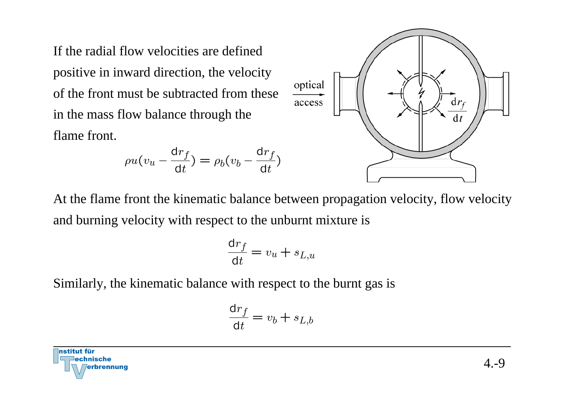If the radial flow velocities are defined positive in inward direction, the velocity of the front must be subtracted from these in the mass flow balance through the flame front.

$$
\rho u(v_u - \frac{dr_f}{dt}) = \rho_b(v_b - \frac{dr_f}{dt})
$$



At the flame front the kinematic balance between propagation velocity, flow velocity and burning velocity with respect to the unburnt mixture is

$$
\frac{\mathrm{d}r_f}{\mathrm{d}t} = v_u + s_{L,u}
$$

Similarly, the kinematic balance with respect to the burnt gas is

$$
\frac{\mathrm{d}r_f}{\mathrm{d}t} = v_b + s_{L,b}
$$

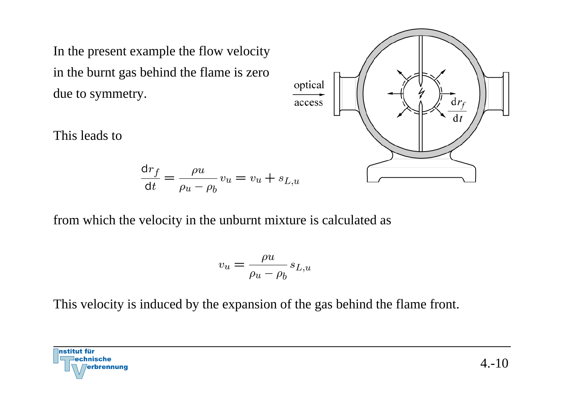In the present example the flow velocity in the burnt gas behind the flame is zero due to symmetry.

This leads to

$$
\frac{\mathrm{d}r_f}{\mathrm{d}t} = \frac{\rho u}{\rho u - \rho_b} v_u = v_u + s_{L,u}
$$



$$
v_u = \frac{\rho u}{\rho_u - \rho_b} s_{L,u}
$$

This velocity is induced by the expansion of the gas behind the flame front.



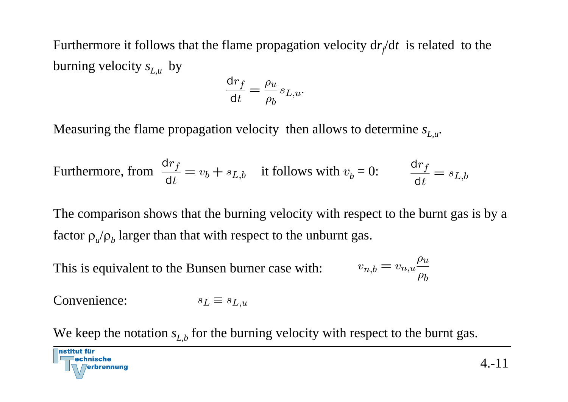Furthermore it follows that the flame propagation velocity d *rf*/d *t* is related to the burning velocity  $s_{L,u}^{\phantom{\dag}}$  by

$$
\frac{\mathrm{d}r_f}{\mathrm{d}t} = \frac{\rho_u}{\rho_b} s_{L,u}.
$$

Measuring the flame propagation velocity then allows to determine  $s_{L,u}$ .

Furthermore, from 
$$
\frac{dr_f}{dt} = v_b + s_{L,b}
$$
 it follows with  $v_b = 0$ :  $\frac{dr_f}{dt} = s_{L,b}$ 

The comparison shows that the burning velocity with respect to the burnt gas is by a factor  $\rho_u/\rho_b$  larger than that with respect to the unburnt gas.

This is equivalent to the Bunsen burner case with:

$$
v_{n,b} = v_{n,u} \frac{\rho_u}{\rho_b}
$$

Convenience: $s_L \equiv s_{L,u}$ 

nstitut für

We keep the notation  $s_{L,b}$  for the burning velocity with respect to the burnt gas.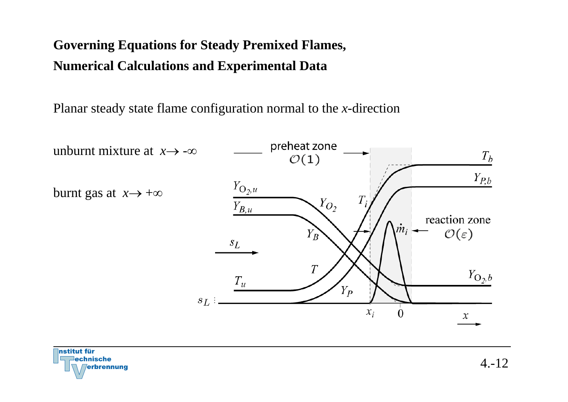## **Governing Equations for Steady Premixed Flames, Numerical Calculations and Experimental Data**

Planar steady state flame configuration normal to the *x*-direction



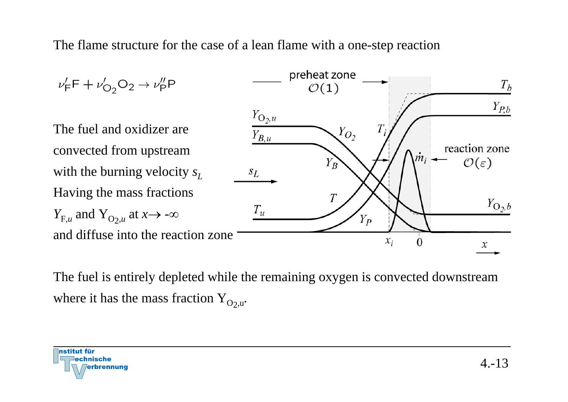The flame structure for the case of a lean flame with a one-step reaction



The fuel is entirely depleted while the remaining oxygen is convected downstream where it has the mass fraction Y<sub>O2,u</sub>.

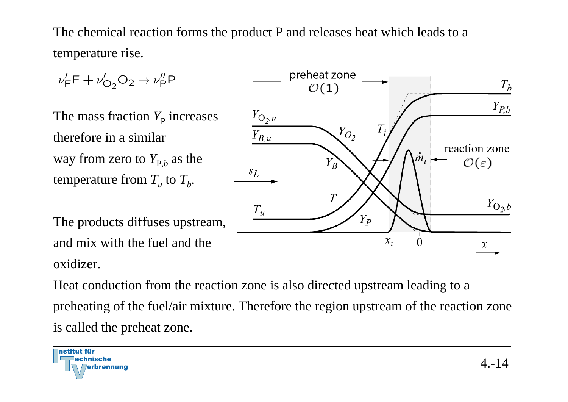The chemical reaction forms the product P and releases heat which leads to a temperature rise.

$$
v'_F F + v'_{O_2} O_2 \rightarrow v''_P P
$$
  
\nThe mass fraction  $Y_P$  increases  
\ntherefore in a similar  
\nway from zero to  $Y_{P,b}$  as the  
\ntemperature from  $T_u$  to  $T_b$ .  
\nThe products diffuses upstream,  
\nand mix with the fuel and the  
\n $\frac{T_u}{T_H}$   
\n $\frac{T_u}{T_H}$   
\n $\frac{T_u}{T_H}$   
\n $\frac{T_u}{T_H}$   
\n $\frac{T_u}{T_H}$   
\n $\frac{T_u}{T_H}$   
\n $\frac{T_u}{T_H}$   
\n $\frac{T_u}{T_H}$   
\n $\frac{T_u}{T_H}$   
\n $\frac{T_u}{T_H}$   
\n $\frac{T_u}{T_H}$   
\n $\frac{T_u}{T_H}$   
\n $\frac{T_u}{T_H}$   
\n $\frac{T_u}{T_H}$   
\n $\frac{T_u}{T_H}$   
\n $\frac{T_u}{T_H}$   
\n $\frac{T_u}{T_H}$   
\n $\frac{T_u}{T_H}$   
\n $\frac{T_u}{T_H}$   
\n $\frac{T_u}{T_H}$   
\n $\frac{T_u}{T_H}$   
\n $\frac{T_u}{T_H}$   
\n $\frac{T_u}{T_H}$   
\n $\frac{T_u}{T_H}$   
\n $\frac{T_u}{T_H}$   
\n $\frac{T_u}{T_H}$   
\n $\frac{T_u}{T_H}$   
\n $\frac{T_u}{T_H}$   
\n $\frac{T_u}{T_H}$   
\n $\frac{T_u}{T_H}$   
\n $\frac{T_u}{T_H}$   
\n $\frac{T_u}{T_H}$   
\n $\frac{T_u}{T_H}$   
\n $\frac{T_u}{T_H}$   
\n $\frac{T_u}{T_H}$   
\n $\frac{T_u}{T_H}$   
\n $\frac{T_u}{T_H}$   
\n $\frac{T_u}{T_H}$   
\n $\frac{T_u}{T_H}$   
\n $\frac{T_u}{T_H}$   
\n $\frac{T_u}{T_H}$   
\n $\frac{T_u}{T_H}$   
\n $\frac{T_u}{T_H}$   
\n $\frac{T_u}{T_H}$ 

Heat conduction from the reaction zone is also directed upstream leading to a preheating of the fuel/air mixture. Therefore the region upstream of the reaction zone is called the preheat zone.



oxidizer.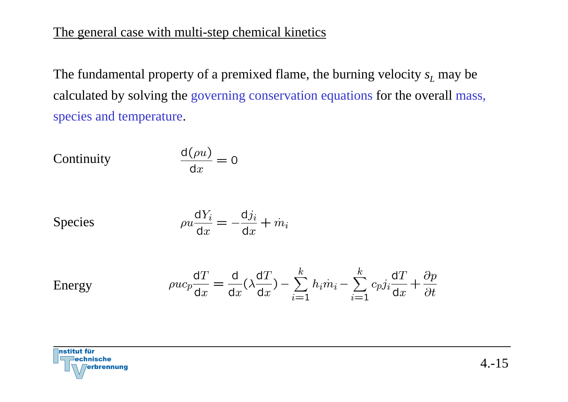#### The general case with multi-step chemical kinetics

The fundamental property of a premixed flame, the burning velocity *s L* may be calculated by solving the governing conservation equations for the overall mass, species and temperature.

Continuity 
$$
\frac{d(\rho u)}{dx} = 0
$$

Species

$$
\rho u \frac{\mathrm{d}Y_i}{\mathrm{d}x} = -\frac{\mathrm{d}j_i}{\mathrm{d}x} + m_i
$$

Energy

$$
\rho u c_p \frac{dT}{dx} = \frac{d}{dx} (\lambda \frac{dT}{dx}) - \sum_{i=1}^k h_i \dot{m}_i - \sum_{i=1}^k c_p j_i \frac{dT}{dx} + \frac{\partial p}{\partial t}
$$

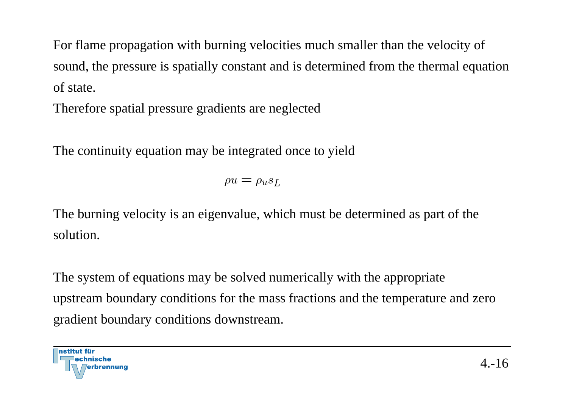For flame propagation with burning velocities much smaller than the velocity of sound, the pressure is spatially constant and is determined from the thermal equation of state.

Therefore spatial pressure gradients are neglected

The continuity equation may be integrated once to yield

 $\rho u = \rho_u s_L$ 

The burning velocity is an eigenvalue, which must be determined as part of the solution.

The system of equations may be solved numerically with the appropriate upstream boundary conditions for the mass fractions and the temperature and zero gradient boundary conditions downstream.

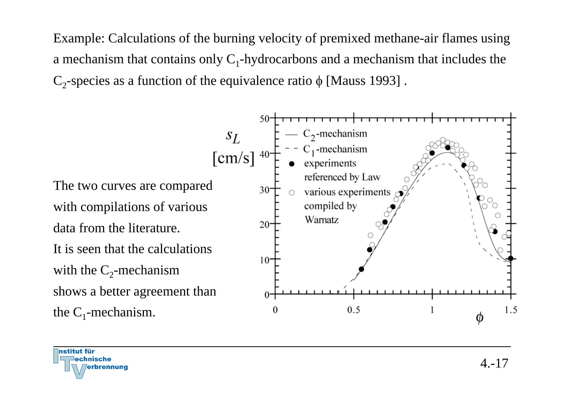Example: Calculations of the burning velocity of premixed methane-air flames using a mechanism that contains only  $C_1$ -hydrocarbons and a mechanism that includes the  $C_2$ -species as a function of the equivalence ratio φ [Mauss 1993].



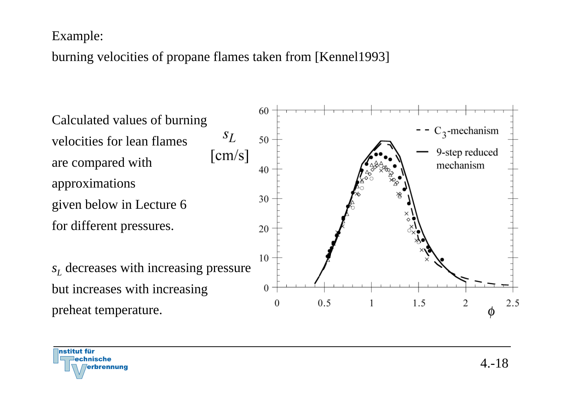#### Example:

## burning velocities of propane flames taken from [Kennel1993]



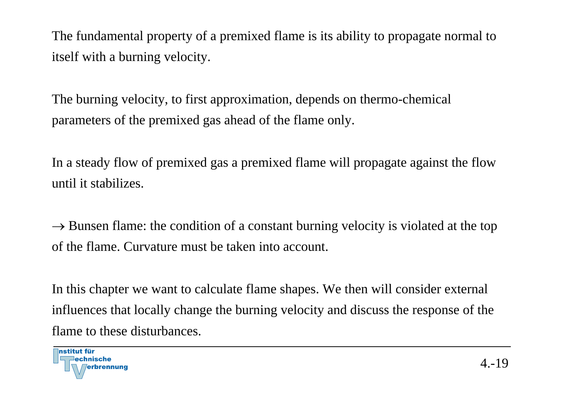The fundamental property of a premixed flame is its ability to propagate normal to itself with a burning velocity.

The burning velocity, to first approximation, depends on thermo-chemical parameters of the premixed gas ahead of the flame only.

In a steady flow of premixed gas a premixed flame will propagate against the flow until it stabilizes.

 $\rightarrow$  Bunsen flame: the condition of a constant burning velocity is violated at the top of the flame. Curvature must be taken into account.

In this chapter we want to calculate flame shapes. We then will consider external influences that locally change the burning velocity and discuss the response of the flame to these disturbances.

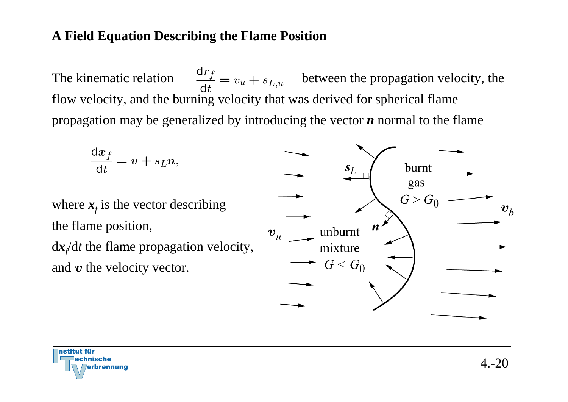#### **A Field Equation Describing the Flame Position**

The kinematic relation  $\frac{dr_f}{dt} = v_u + s_{L,u}$  between the propagation velocity, the flow velocity, and the burning velocity that was derived for spherical flame propagation may be generalized by introducing the vector *n* normal to the flame

$$
\frac{\mathrm{d}x_f}{\mathrm{d}t} = v + s_L n,
$$

where  $x_f$  is the vector describing the flame position,

<sup>d</sup>*<sup>x</sup>f*/d *t* the flame propagation velocity, and  $\boldsymbol{v}$  the velocity vector.



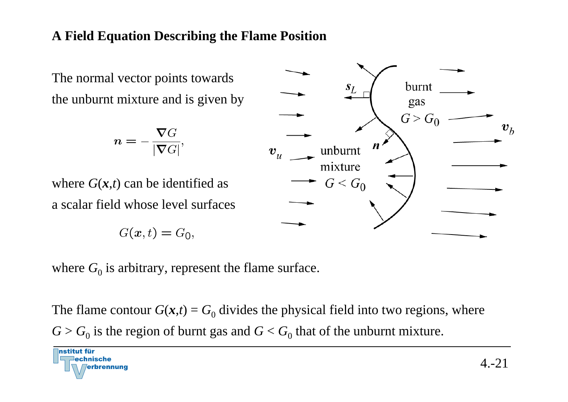#### **A Field Equation Describing the Flame Position**

The normal vector points towards the unburnt mixture and is given by

$$
n=-\frac{\nabla G}{|\nabla G|},
$$

where  $G(x,t)$  can be identified as a scalar field whose level surfaces

$$
G(x,t)=G_0
$$



where  $G_0$  is arbitrary, represent the flame surface.

 $\overline{\phantom{a}}$ 

The flame contour  $G(x,t) = G_0$  divides the physical field into two regions, where  $G > G_0$  is the region of burnt gas and  $G < G_0$  that of the unburnt mixture.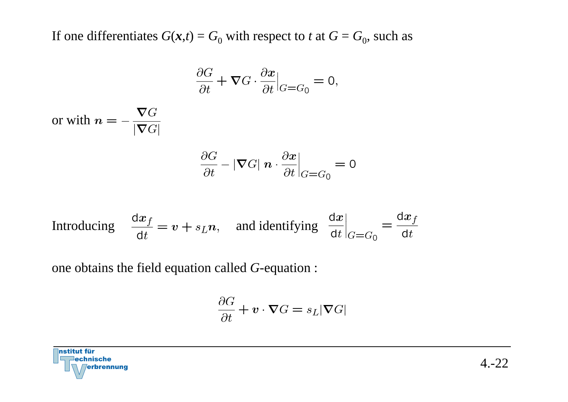If one differentiates  $G(x,t) = G_0$  with respect to *t* at  $G = G_0$ , such as

$$
\frac{\partial G}{\partial t} + \nabla G \cdot \frac{\partial x}{\partial t}\Big|_{G = G_0} = 0,
$$

or with

$$
\frac{\partial G}{\partial t} - |\nabla G| \mathbf{n} \cdot \frac{\partial x}{\partial t}\Big|_{G=G_0} = 0
$$

Introducing 
$$
\frac{dx_f}{dt} = v + s_L n
$$
, and identifying  $\frac{dx}{dt}\Big|_{G=G_0} = \frac{dx_f}{dt}$ 

one obtains the field equation called *G*-equation :

$$
\frac{\partial G}{\partial t} + \mathbf{v} \cdot \nabla G = s_L |\nabla G|
$$

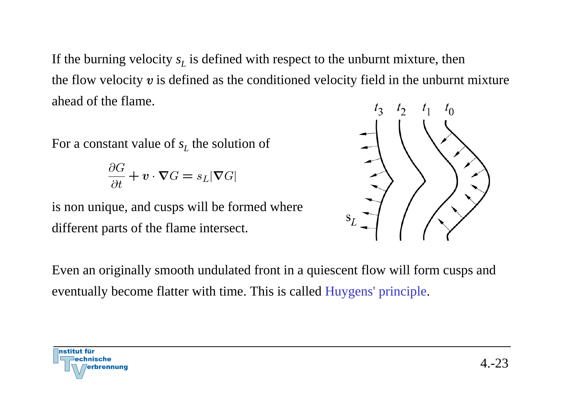If the burning velocity  $s_L$  is defined with respect to the unburnt mixture, then the flow velocity  $v$  is defined as the conditioned velocity field in the unburnt mixture ahead of the flame.

For a constant value of *s*<sub>L</sub> the solution of

$$
\frac{\partial G}{\partial t} + \mathbf{v} \cdot \nabla G = s_L |\nabla G|
$$

is non unique, and cusps will be formed where different parts of the flame intersect.



Even an originally smooth undulated front in a quiescent flow will form cusps and eventually become flatter with time. This is called Huygens' principle.

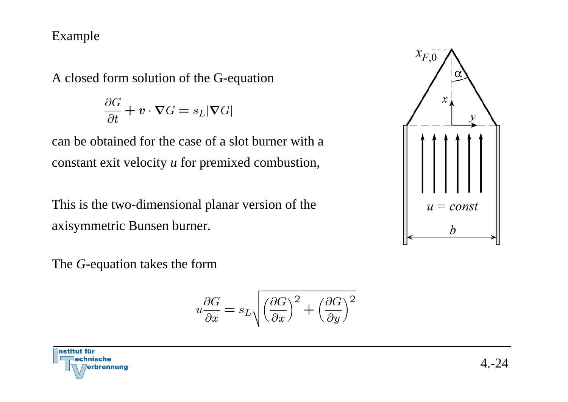#### Example

A closed form solution of the G-equation

$$
\frac{\partial G}{\partial t} + \mathbf{v} \cdot \nabla G = s_L |\nabla G|
$$

can be obtained for the case of a slot burner with a constant exit velocity *<sup>u</sup>* for premixed combustion,

This is the two-dimensional planar version of the axisymmetric Bunsen burner.

 $x_{F,0}$  $\mathcal{X}$  $u = const$ 

The *G*-equation takes the form

$$
u\frac{\partial G}{\partial x} = s_L \sqrt{\left(\frac{\partial G}{\partial x}\right)^2 + \left(\frac{\partial G}{\partial y}\right)^2}
$$

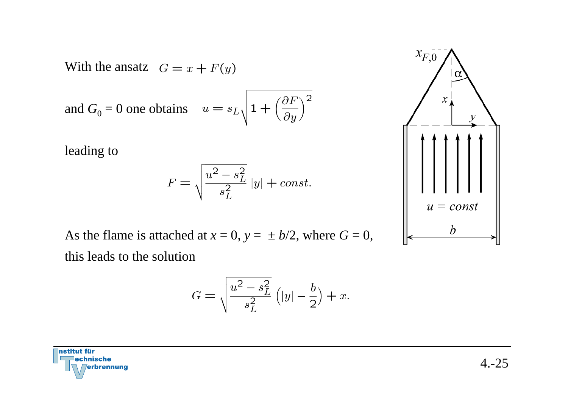With the ansatz

and 
$$
G_0 = 0
$$
 one obtains  $u = s_L \left( 1 + \left( \frac{\partial F}{\partial y} \right)^2 \right)$ 

leading to

$$
F = \sqrt{\frac{u^2 - s_L^2}{s_L^2}} |y| + const.
$$

As the flame is attached at  $x = 0$ ,  $y = \pm b/2$ , where  $G = 0$ , this leads to the solution

$$
G = \sqrt{\frac{u^2 - s_L^2}{s_L^2} (|y| - \frac{b}{2})} + x.
$$



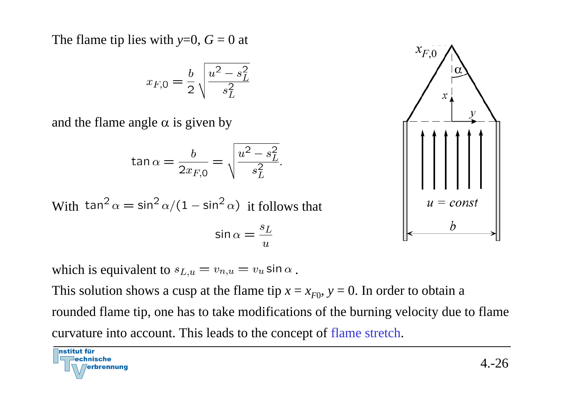The flame tip lies with  $y=0$ ,  $G=0$  at

$$
x_{F,0} = \frac{b}{2} \sqrt{\frac{u^2 - s_L^2}{s_L^2}}
$$

and the flame angle  $\alpha$  is given by

nstitut für

lechnische

rbrennung

$$
\tan \alpha = \frac{b}{2x_{F,0}} = \sqrt{\frac{u^2 - s_L^2}{s_L^2}}.
$$

With tan<sup>2</sup>  $\alpha = \sin^2 \alpha/(1 - \sin^2 \alpha)$  it follows that

$$
\sin \alpha = \frac{s_L}{u}
$$

which is equivalent to  $s_{L,u} = v_{n,u} = v_u \sin \alpha$ .

This solution shows a cusp at the flame tip  $x = x_{F0}$ ,  $y = 0$ . In order to obtain a

rounded flame tip, one has to take modifications of the burning velocity due to flame curvature into account. This leads to the concept of flame stretch.

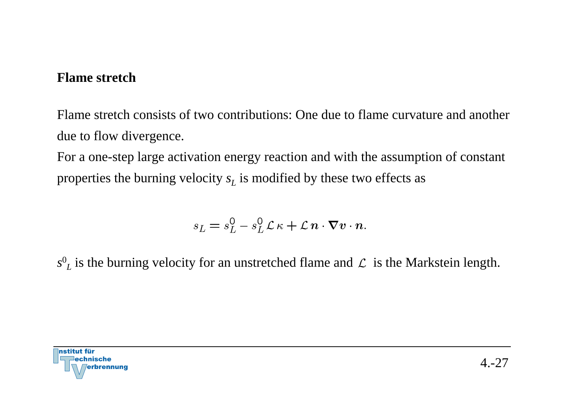#### **Flame stretch**

Flame stretch consists of two contributions: One due to flame curvature and another due to flow divergence.

For a one-step large activation energy reaction and with the assumption of constant properties the burning velocity  $s_L$  is modified by these two effects as

$$
s_L = s_L^0 - s_L^0 \mathcal{L} \kappa + \mathcal{L} n \cdot \nabla v \cdot n.
$$

 $s^0_L$  is the burning velocity for an unstretched flame and  ${\cal L}$  is the Markstein length.

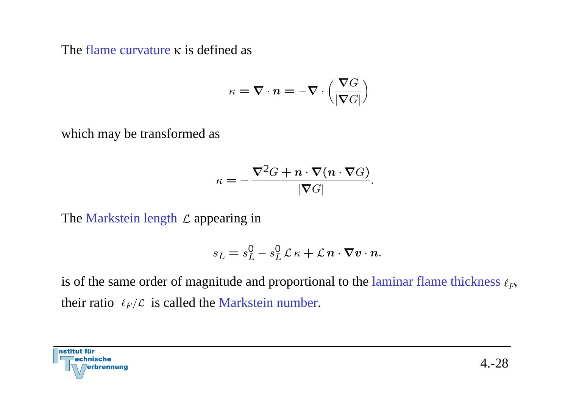The flame curvature κ is defined as

$$
\kappa = \boldsymbol{\nabla} \cdot \boldsymbol{n} = - \boldsymbol{\nabla} \cdot \left( \frac{\boldsymbol{\nabla} G}{|\boldsymbol{\nabla} G|} \right)
$$

which may be transformed as

$$
\kappa = -\frac{\nabla^2 G + \boldsymbol{n} \cdot \nabla (\boldsymbol{n} \cdot \nabla G)}{|\nabla G|}.
$$

The Markstein length  $\mathcal L$  appearing in

$$
s_L = s_L^0 - s_L^0 \mathcal{L} \kappa + \mathcal{L} \mathbf{n} \cdot \nabla \mathbf{v} \cdot \mathbf{n}.
$$

is of the same order of magnitude and proportional to the laminar flame thickness  $\ell_F$ , their ratio  $\ell_F/\mathcal{L}$  is called the Markstein number.

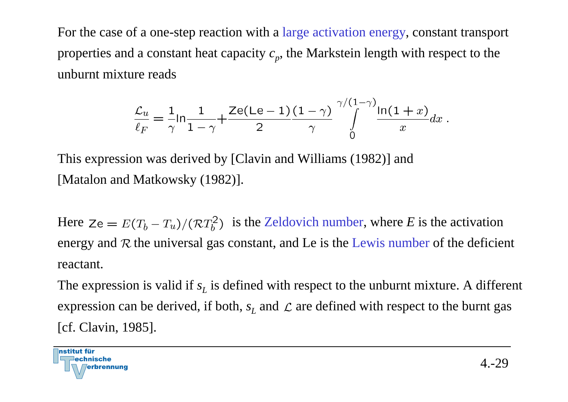For the case of a one-step reaction with a large activation energy, constant transport properties and a constant heat capacity  $c_p$ , the Markstein length with respect to the unburnt mixture reads

$$
\frac{\mathcal{L}_u}{\ell_F} = \frac{1}{\gamma} \ln \frac{1}{1 - \gamma} + \frac{\mathsf{Ze}(Le - 1)}{2} \frac{(1 - \gamma)}{\gamma} \int\limits_{0}^{\gamma/(1 - \gamma)} \frac{\ln(1 + x)}{x} dx.
$$

This expression was derived by [Clavin and Williams (1982)] and [Matalon and Matkowsky (1982)].

Here  $Ze = E(T_b - T_u)/(\mathcal{R}T_b^2)$  is the Zeldovich number, where *E* is the activation energy and  $R$  the universal gas constant, and Le is the Lewis number of the deficient reactant.

The expression is valid if  $s_L$  is defined with respect to the unburnt mixture. A different expression can be derived, if both,  $s_L$  and  $\mathcal L$  are defined with respect to the burnt gas [cf. Clavin, 1985].

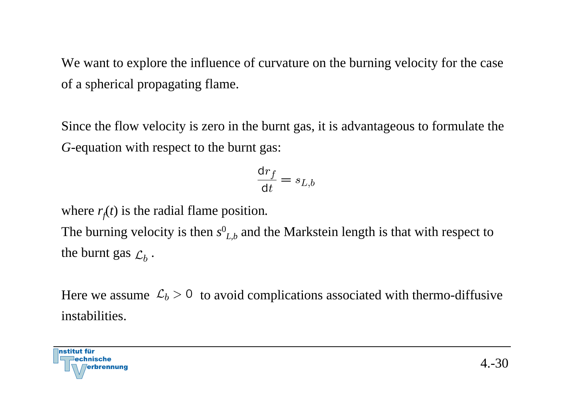We want to explore the influence of curvature on the burning velocity for the case of a spherical propagating flame.

Since the flow velocity is zero in the burnt gas, it is advantageous to formulate the *G*-equation with respect to the burnt gas:

$$
\frac{\text{d}r_f}{\text{d}t} = s_{L,b}
$$

where  $r_f(t)$  is the radial flame position.

The burning velocity is then *s* 0 *L,b* and the Markstein length is that with respect to the burnt gas  $\mathcal{L}_h$ .

Here we assume  $\mathcal{L}_b > 0$  to avoid complications associated with thermo-diffusive instabilities.

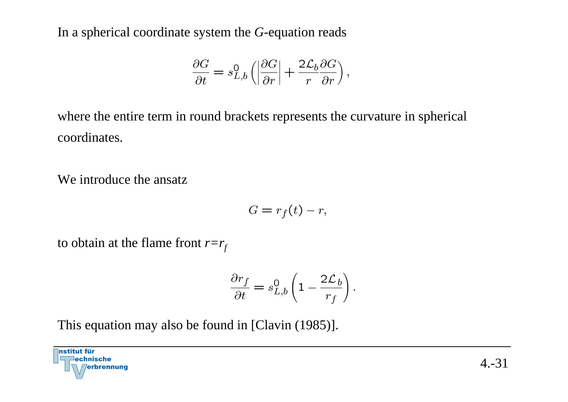In a spherical coordinate system the *G*-equation reads

$$
\frac{\partial G}{\partial t} = s_{L,b}^0 \left( \left| \frac{\partial G}{\partial r} \right| + \frac{2 \mathcal{L}_b \partial G}{r} \right),\,
$$

where the entire term in round brackets represents the curvature in spherical coordinates.

We introduce the ansatz

$$
G=r_f(t)-r,
$$

to obtain at the flame front  $r=r_f$ 

$$
\frac{\partial r_f}{\partial t} = s_{L,b}^0 \left( 1 - \frac{2\mathcal{L}_b}{r_f} \right).
$$

This equation may also be found in [Clavin (1985)].

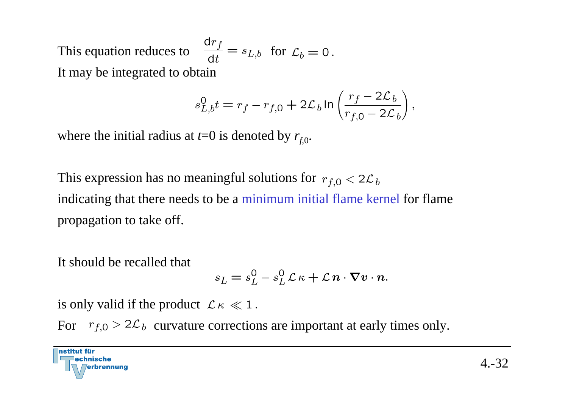This equation reduces to  $\frac{dr_f}{dt} = s_{L,b}$  for  $\mathcal{L}_b = 0$ . It may be integrated to obtain

$$
s_{L,b}^0t=r_f-r_{f,0}+2\mathcal{L}_b\ln\left(\frac{r_f-2\mathcal{L}_b}{r_{f,0}-2\mathcal{L}_b}\right),
$$

where the initial radius at  $t=0$  is denoted by  $r_{f,0}$ .

This expression has no meaningful solutions for  $r_{f,0} < 2\mathcal{L}_b$ indicating that there needs to be a minimum initial flame kernel for flame propagation to take off.

It should be recalled that

$$
s_L = s_L^0 - s_L^0 \mathcal{L} \kappa + \mathcal{L} \mathbf{n} \cdot \nabla \mathbf{v} \cdot \mathbf{n}.
$$

is only valid if the product  $\mathcal{L}\kappa \ll 1$ .

For  $r_{f,0} > 2\mathcal{L}_b$  curvature corrections are important at early times only.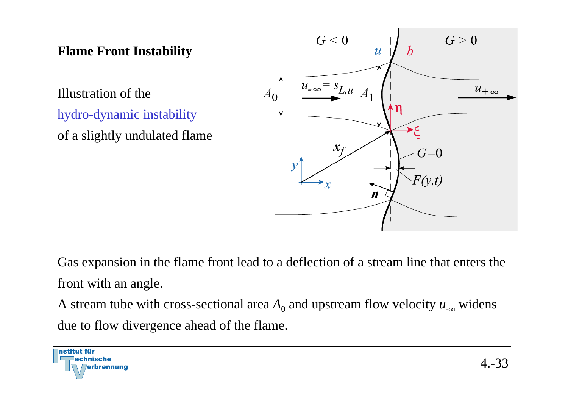## **Flame Front Instability**

Illustration of the hydro-dynamic instability of a slightly undulated flame



Gas expansion in the flame front lead to a deflection of a stream line that enters the front with an angle.

A stream tube with cross-sectional area  $A_0$  and upstream flow velocity  $u_{-\infty}$  widens due to flow divergence ahead of the flame.

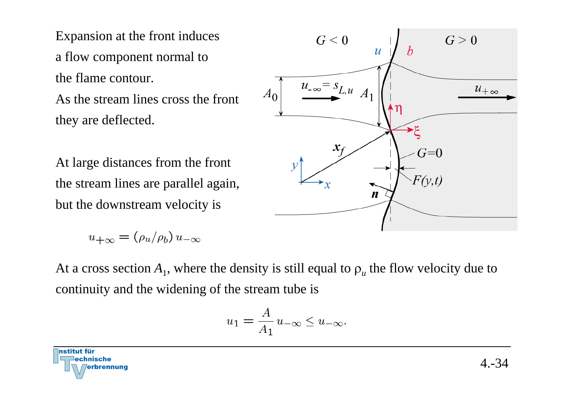Expansion at the front induces a flow component normal to the flame contour. As the stream lines cross the front they are deflected.

At large distances from the front the stream lines are parallel again, but the downstream velocity is

$$
u_{+\infty} = (\rho_u/\rho_b) u_{-\infty}
$$



$$
u_1 = \frac{A}{A_1} u_{-\infty} \le u_{-\infty}.
$$



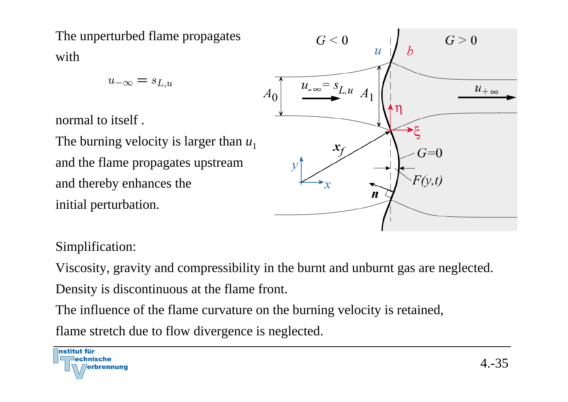The unperturbed flame propagates with

 $u_{-\infty} = s_{L,u}$ 

normal to itself .

The burning velocity is larger than  $u_1$ and the flame propagates upstream and thereby enhances the initial perturbation.



### Simplification:

Viscosity, gravity and compressibility in the burnt and unburnt gas are neglected. Density is discontinuous at the flame front.

The influence of the flame curvature on the burning velocity is retained,

flame stretch due to flow divergence is neglected.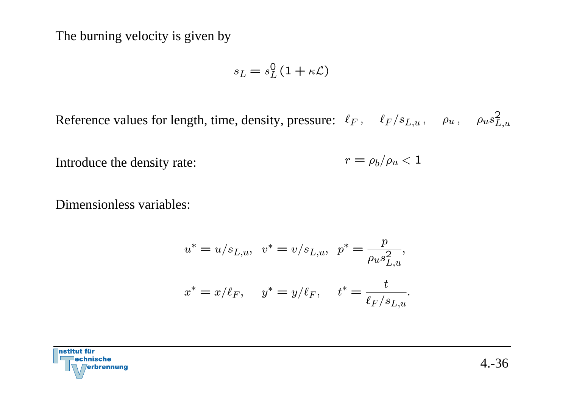The burning velocity is given by

$$
s_L = s_L^0 \left( 1 + \kappa \mathcal{L} \right)
$$

Reference values for length, time, density, pressure:  $\ell_F$ ,  $\ell_F/s_{L,u}$ ,  $\rho_u$ ,  $\rho_u s_{L,u}^2$ 

 $r = \rho_b/\rho_u < 1$ Introduce the density rate:

Dimensionless variables:

$$
u^* = u/s_{L,u}, \quad v^* = v/s_{L,u}, \quad p^* = \frac{p}{\rho_u s_{L,u}^2},
$$
  

$$
x^* = x/\ell_F, \quad y^* = y/\ell_F, \quad t^* = \frac{t}{\ell_F/s_{L,u}}.
$$

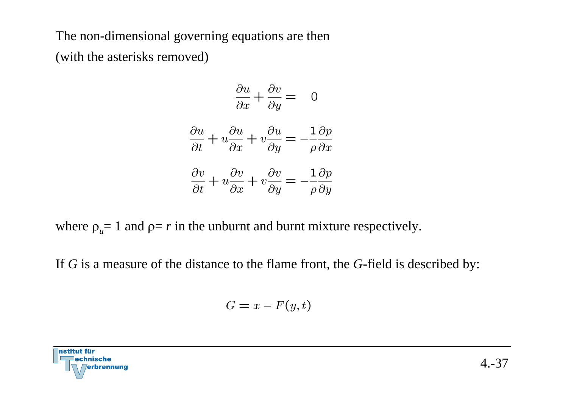The non-dimensional governing equations are then (with the asterisks removed)

$$
\frac{\partial u}{\partial x} + \frac{\partial v}{\partial y} = 0
$$

$$
\frac{\partial u}{\partial t} + u \frac{\partial u}{\partial x} + v \frac{\partial u}{\partial y} = -\frac{1}{\rho} \frac{\partial p}{\partial x}
$$
  

$$
\frac{\partial v}{\partial x} = \frac{\partial v}{\partial x} \qquad \frac{1}{\rho} \frac{\partial p}{\partial x}
$$

$$
\frac{\partial v}{\partial t} + u \frac{\partial v}{\partial x} + v \frac{\partial v}{\partial y} = -\frac{1}{\rho} \frac{\partial p}{\partial y}
$$

where  $\rho_u = 1$  and  $\rho = r$  in the unburnt and burnt mixture respectively.

If *G* is a measure of the distance to the flame front, the *G*-field is described by:

$$
G = x - F(y, t)
$$

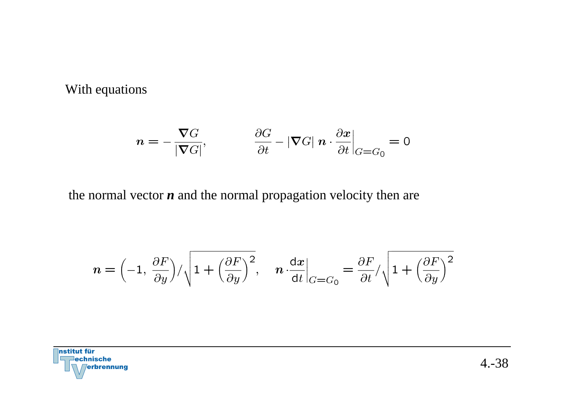With equations

$$
n = -\frac{\nabla G}{|\nabla G|}, \qquad \frac{\partial G}{\partial t} - |\nabla G| \; n \cdot \frac{\partial x}{\partial t}\Big|_{G = G_0} = 0
$$

the normal vector *n* and the normal propagation velocity then are

$$
n = \left(-1, \frac{\partial F}{\partial y}\right) / \sqrt{1 + \left(\frac{\partial F}{\partial y}\right)^2}, \quad n \cdot \frac{dx}{dt}\Big|_{G=G_0} = \frac{\partial F}{\partial t} / \sqrt{1 + \left(\frac{\partial F}{\partial y}\right)^2}
$$

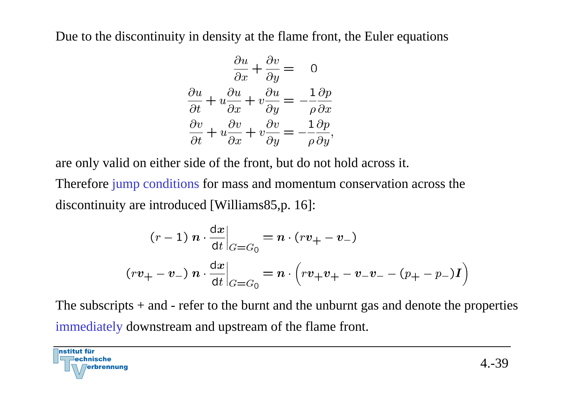Due to the discontinuity in density at the flame front, the Euler equations

$$
\frac{\partial u}{\partial x} + \frac{\partial v}{\partial y} = 0
$$

$$
\frac{\partial u}{\partial t} + u \frac{\partial u}{\partial x} + v \frac{\partial u}{\partial y} = -\frac{1}{\rho} \frac{\partial p}{\partial x}
$$

$$
\frac{\partial v}{\partial t} + u \frac{\partial v}{\partial x} + v \frac{\partial v}{\partial y} = -\frac{1}{\rho} \frac{\partial p}{\partial y},
$$

are only valid on either side of the front, but do not hold across it.

Therefore jump conditions for mass and momentum conservation across the discontinuity are introduced [Williams85,p. 16]:

$$
(r-1) n \cdot \frac{dx}{dt}\Big|_{G=G_0} = n \cdot (rv_+ - v_-)
$$

$$
(rv_+ - v_-) n \cdot \frac{dx}{dt}\Big|_{G=G_0} = n \cdot (rv_+v_+ - v_-v_- - (p_+ - p_-)I)
$$

The subscripts  $+$  and  $-$  refer to the burnt and the unburnt gas and denote the properties immediately downstream and upstream of the flame front.

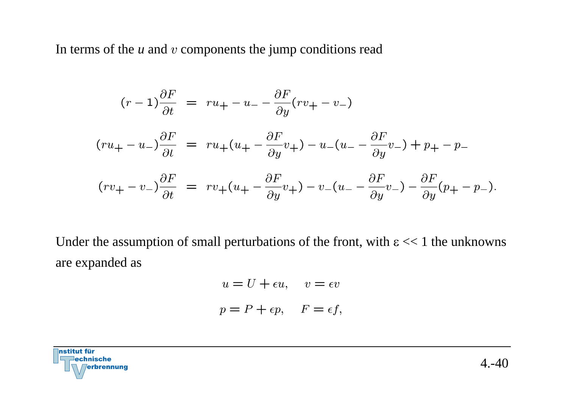In terms of the *u* and <sup>v</sup> components the jump conditions read

$$
(r-1)\frac{\partial F}{\partial t} = ru_{+} - u_{-} - \frac{\partial F}{\partial y}(rv_{+} - v_{-})
$$
  

$$
(ru_{+} - u_{-})\frac{\partial F}{\partial t} = ru_{+}(u_{+} - \frac{\partial F}{\partial y}v_{+}) - u_{-}(u_{-} - \frac{\partial F}{\partial y}v_{-}) + p_{+} - p_{-}
$$
  

$$
(rv_{+} - v_{-})\frac{\partial F}{\partial t} = rv_{+}(u_{+} - \frac{\partial F}{\partial y}v_{+}) - v_{-}(u_{-} - \frac{\partial F}{\partial y}v_{-}) - \frac{\partial F}{\partial y}(p_{+} - p_{-}).
$$

Under the assumption of small perturbations of the front, with  $\epsilon \ll 1$  the unknowns are expanded as

$$
u = U + \epsilon u, \quad v = \epsilon v
$$

$$
p = P + \epsilon p, \quad F = \epsilon f,
$$

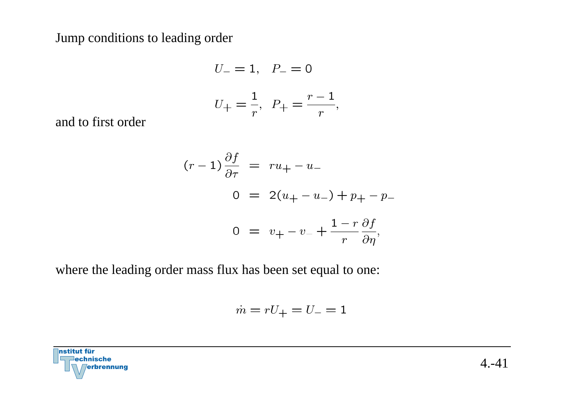Jump conditions to leading order

$$
U_{-} = 1, \quad P_{-} = 0
$$
  

$$
U_{+} = \frac{1}{r}, \quad P_{+} = \frac{r-1}{r},
$$

and to first order

$$
(r-1)\frac{\partial f}{\partial \tau} = ru_{+} - u_{-}
$$
  

$$
0 = 2(u_{+} - u_{-}) + p_{+} - p_{-}
$$
  

$$
0 = v_{+} - v_{-} + \frac{1-r}{r} \frac{\partial f}{\partial \eta},
$$

where the leading order mass flux has been set equal to one:

$$
\dot{m} = rU_+ = U_- = 1
$$

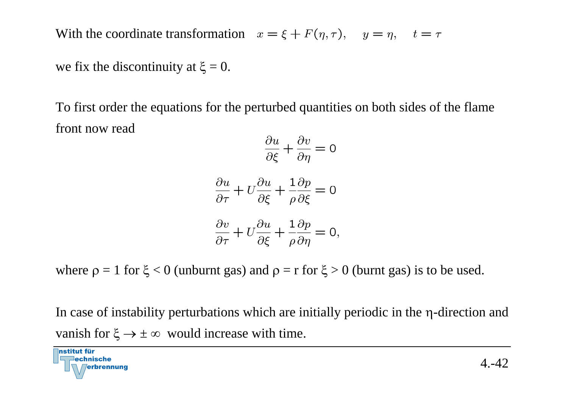With the coordinate transformation

we fix the discontinuity at  $\xi = 0$ .

To first order the equations for the perturbed quantities on both sides of the flame front now read

$$
\frac{\partial u}{\partial \xi} + \frac{\partial v}{\partial \eta} = 0
$$

$$
\frac{\partial u}{\partial \tau} + U \frac{\partial u}{\partial \xi} + \frac{1}{\rho} \frac{\partial p}{\partial \xi} = 0
$$

$$
\frac{\partial v}{\partial \tau} + U \frac{\partial u}{\partial \xi} + \frac{1}{\rho} \frac{\partial p}{\partial \eta} = 0,
$$

where  $\rho = 1$  for  $\xi < 0$  (unburnt gas) and  $\rho = r$  for  $\xi > 0$  (burnt gas) is to be used.

In case of instability perturbations which are initially periodic in the η-direction and vanish for  $\xi \rightarrow \pm \infty$  would increase with time.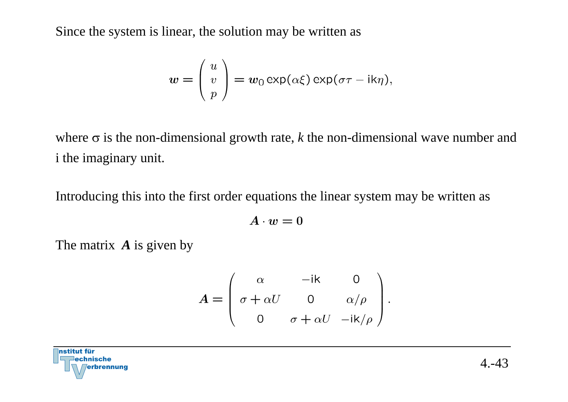Since the system is linear, the solution may be written as

$$
w = \begin{pmatrix} u \\ v \\ p \end{pmatrix} = w_0 \exp(\alpha \xi) \exp(\sigma \tau - i k \eta),
$$

where σ is the non-dimensional growth rate, *k* the non-dimensional wave number and i the imaginary unit.

Introducing this into the first order equations the linear system may be written as

$$
A\cdot w=0
$$

The matrix *A* is given by

$$
A = \begin{pmatrix} \alpha & -ik & 0 \\ \sigma + \alpha U & 0 & \alpha/\rho \\ 0 & \sigma + \alpha U & -ik/\rho \end{pmatrix}
$$

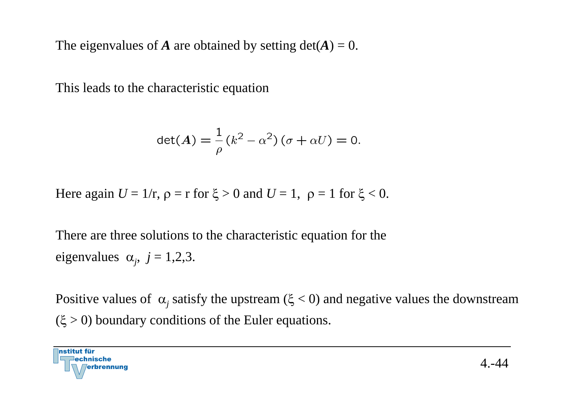The eigenvalues of *A* are obtained by setting  $det(A) = 0$ .

This leads to the characteristic equation

$$
\det(\mathbf{A}) = \frac{1}{\rho} (k^2 - \alpha^2) (\sigma + \alpha U) = 0.
$$

Here again  $U = 1/r$ ,  $\rho = r$  for  $\xi > 0$  and  $U = 1$ ,  $\rho = 1$  for  $\xi < 0$ .

There are three solutions to the characteristic equation for the eigenvalues  $\alpha_i$ ,  $j = 1,2,3$ .

Positive values of  $\alpha_j$  satisfy the upstream ( $\xi$  < 0) and negative values the downstream  $(\xi > 0)$  boundary conditions of the Euler equations.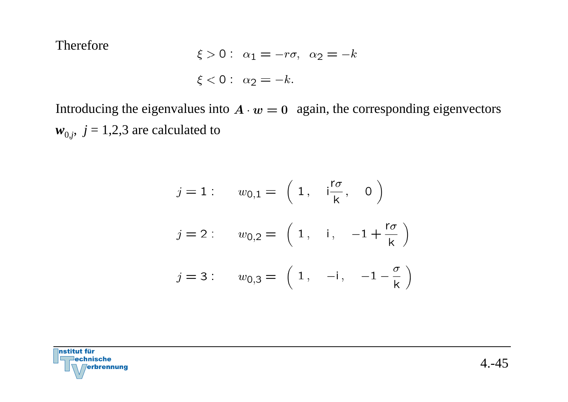Therefore

$$
\xi > 0: \ \alpha_1 = -r\sigma, \ \alpha_2 = -k
$$

$$
\xi < 0: \ \alpha_2 = -k.
$$

Introducing the eigenvalues into  $A \cdot w = 0$  again, the corresponding eigenvectors  $w_{0,j}$ ,  $j = 1,2,3$  are calculated to

$$
j = 1: \t w_{0,1} = \begin{pmatrix} 1, & i\frac{r\sigma}{k}, & 0 \end{pmatrix}
$$
  

$$
j = 2: \t w_{0,2} = \begin{pmatrix} 1, & i, & -1 + \frac{r\sigma}{k} \end{pmatrix}
$$
  

$$
j = 3: \t w_{0,3} = \begin{pmatrix} 1, & -i, & -1 - \frac{\sigma}{k} \end{pmatrix}
$$

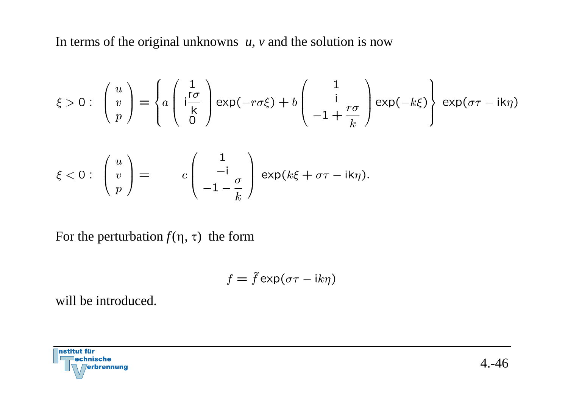In terms of the original unknowns *<sup>u</sup>*, *<sup>v</sup>* and the solution is now

$$
\xi > 0: \begin{pmatrix} u \\ v \\ p \end{pmatrix} = \begin{cases} a \begin{pmatrix} \frac{1}{r\sigma} \\ \frac{k}{r\sigma} \\ 0 \end{pmatrix} \exp(-r\sigma\xi) + b \begin{pmatrix} 1 \\ i \\ -1 + \frac{r\sigma}{k} \end{pmatrix} \exp(-k\xi) \begin{cases} \exp(\sigma\tau - ik\eta) \\ \exp(\sigma\tau - ik\eta) \end{cases}
$$

$$
\xi < 0: \begin{pmatrix} u \\ v \\ p \end{pmatrix} = c \begin{pmatrix} 1 \\ -i \\ -1 - \frac{\sigma}{k} \end{pmatrix} \exp(k\xi + \sigma\tau - ik\eta).
$$

For the perturbation  $f(\eta, \tau)$  the form

$$
f = \tilde{f} \exp(\sigma \tau - ik\eta)
$$

will be introduced.

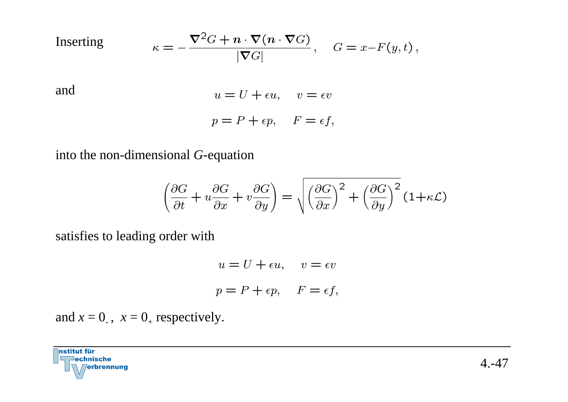Inserting  
\n
$$
\kappa = -\frac{\nabla^2 G + n \cdot \nabla (n \cdot \nabla G)}{|\nabla G|}, \quad G = x - F(y, t),
$$
\nand  
\n
$$
u = U + \epsilon u, \quad v = \epsilon v
$$
\n
$$
p = P + \epsilon p, \quad F = \epsilon f,
$$

#### into the non-dimensional *G*-equation

$$
\left(\frac{\partial G}{\partial t} + u \frac{\partial G}{\partial x} + v \frac{\partial G}{\partial y}\right) = \sqrt{\left(\frac{\partial G}{\partial x}\right)^2 + \left(\frac{\partial G}{\partial y}\right)^2} (1 + \kappa \mathcal{L})
$$

satisfies to leading order with

$$
u = U + \epsilon u, \quad v = \epsilon v
$$

$$
p = P + \epsilon p, \quad F = \epsilon f,
$$

and  $x = 0$ <sub>-</sub>,  $x = 0$ <sub>+</sub> respectively.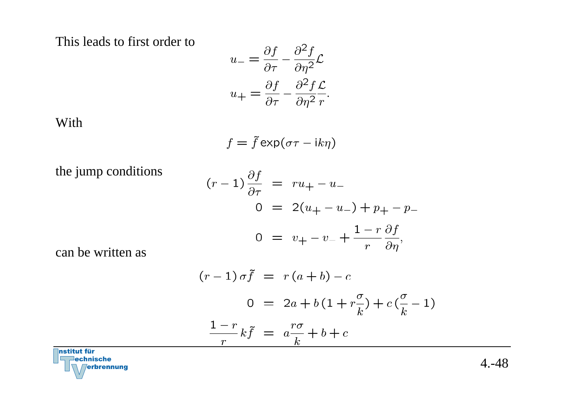This leads to first order to

$$
u_{-} = \frac{\partial f}{\partial \tau} - \frac{\partial^2 f}{\partial \eta^2} \mathcal{L}
$$

$$
u_{+} = \frac{\partial f}{\partial \tau} - \frac{\partial^2 f}{\partial \eta^2} \frac{\mathcal{L}}{r}.
$$

With

$$
f = \tilde{f} \exp(\sigma \tau - ik\eta)
$$

the jump conditions

$$
(r-1)\frac{\partial f}{\partial \tau} = ru_{+} - u_{-}
$$
  
\n
$$
0 = 2(u_{+} - u_{-}) + p_{+} - p_{-}
$$
  
\n
$$
0 = v_{+} - v_{-} + \frac{1 - r}{r} \frac{\partial f}{\partial \eta},
$$

can be written as

$$
(r-1)\sigma\tilde{f} = r(a+b) - c
$$
  

$$
0 = 2a + b(1 + r\frac{\sigma}{k}) + c(\frac{\sigma}{k} - 1)
$$
  

$$
\frac{1-r}{r}k\tilde{f} = a\frac{r\sigma}{k} + b + c
$$

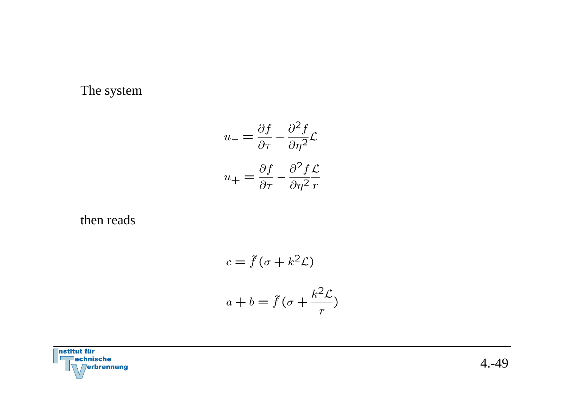#### The system

$$
u_{-} = \frac{\partial f}{\partial \tau} - \frac{\partial^2 f}{\partial \eta^2} \mathcal{L}
$$

$$
u_{+} = \frac{\partial f}{\partial \tau} - \frac{\partial^2 f}{\partial \eta^2} \frac{\mathcal{L}}{r}
$$

then reads

$$
c = \tilde{f}(\sigma + k^2 \mathcal{L})
$$

$$
a + b = \tilde{f}(\sigma + \frac{k^2 \mathcal{L}}{r})
$$

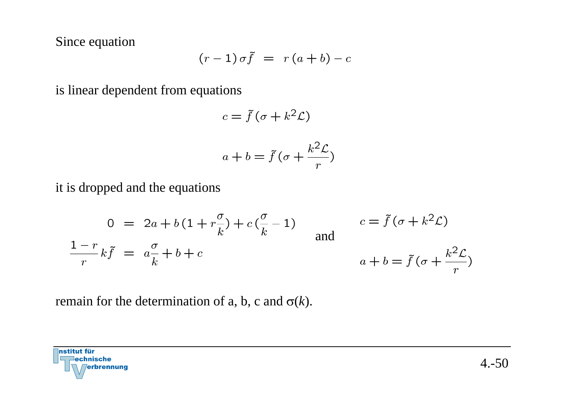Since equation

$$
(r-1)\,\sigma\tilde{f} = r\,(a+b) - c
$$

is linear dependent from equations

$$
c = \tilde{f}(\sigma + k^2 \mathcal{L})
$$

$$
a + b = \tilde{f} \left( \sigma + \frac{k^2 \mathcal{L}}{r} \right)
$$

it is dropped and the equations

$$
0 = 2a + b(1 + r\frac{\sigma}{k}) + c(\frac{\sigma}{k} - 1)
$$
  
\n
$$
\frac{1 - r}{r}k\tilde{f} = a\frac{\sigma}{k} + b + c
$$
  
\n
$$
a + b = \tilde{f}(\sigma + k^{2} \mathcal{L})
$$
  
\n
$$
a + b = \tilde{f}(\sigma + \frac{k^{2} \mathcal{L}}{r})
$$

remain for the determination of a, b, c and σ(*k*).

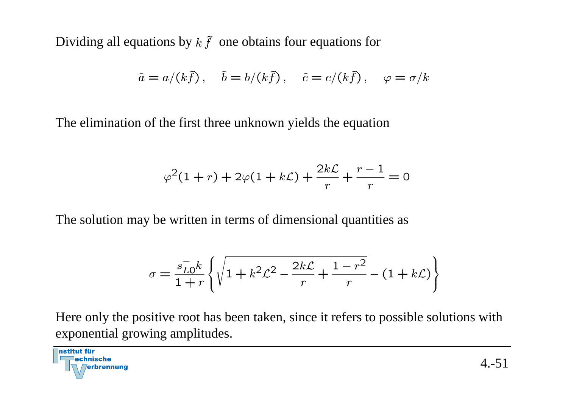Dividing all equations by  $k \tilde{f}$  one obtains four equations for

$$
\hat{a} = a/(k\tilde{f}), \quad \hat{b} = b/(k\tilde{f}), \quad \hat{c} = c/(k\tilde{f}), \quad \varphi = \sigma/k
$$

The elimination of the first three unknown yields the equation

$$
\varphi^2(1+r) + 2\varphi(1+k\mathcal{L}) + \frac{2k\mathcal{L}}{r} + \frac{r-1}{r} = 0
$$

The solution may be written in terms of dimensional quantities as

$$
\sigma = \frac{s_{LO}^{-}k}{1+r} \left\{ \sqrt{1 + k^2 \mathcal{L}^2 - \frac{2k\mathcal{L}}{r} + \frac{1-r^2}{r}} - (1+k\mathcal{L}) \right\}
$$

Here only the positive root has been taken, since it refers to possible solutions with exponential growing amplitudes.

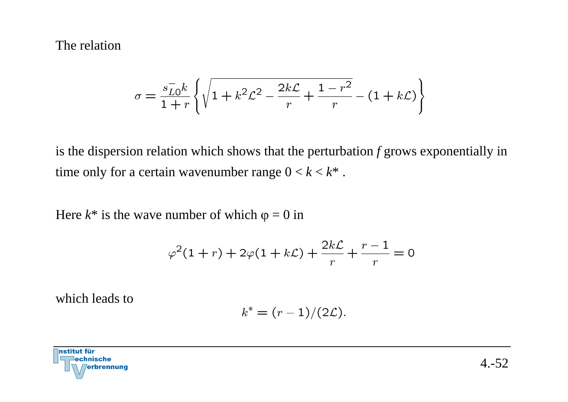#### The relation

$$
\sigma = \frac{s_{LO}^{-}k}{1+r} \left\{ \sqrt{1 + k^2 \mathcal{L}^2 - \frac{2k\mathcal{L}}{r} + \frac{1-r^2}{r}} - (1+k\mathcal{L}) \right\}
$$

is the dispersion relation which shows that the perturbation *f* grows exponentially in time only for a certain wavenumber range  $0 < k < k^*$ .

Here  $k^*$  is the wave number of which  $\varphi = 0$  in

$$
\varphi^2(1+r) + 2\varphi(1+k\mathcal{L}) + \frac{2k\mathcal{L}}{r} + \frac{r-1}{r} = 0
$$

which leads to

$$
k^* = (r-1)/(2\mathcal{L}).
$$

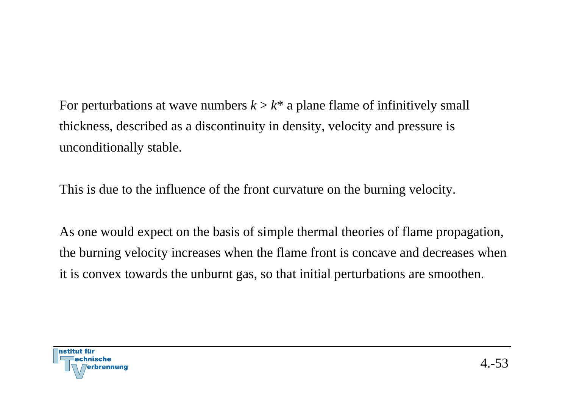For perturbations at wave numbers  $k > k^*$  a plane flame of infinitively small thickness, described as a discontinuity in density, velocity and pressure is unconditionally stable.

This is due to the influence of the front curvature on the burning velocity.

As one would expect on the basis of simple thermal theories of flame propagation, the burning velocity increases when the flame front is concave and decreases when it is convex towards the unburnt gas, so that initial perturbations are smoothen.

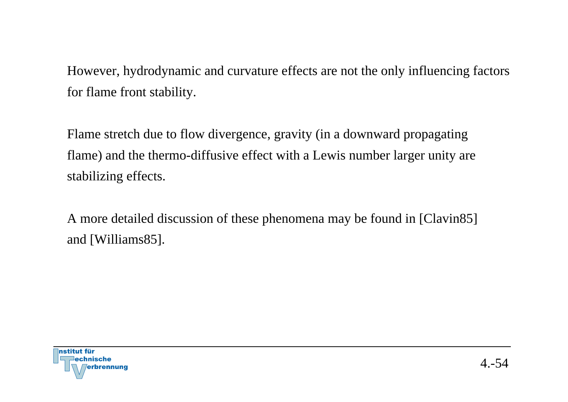However, hydrodynamic and curvature effects are not the only influencing factors for flame front stability.

Flame stretch due to flow divergence, gravity (in a downward propagating flame) and the thermo-diffusive effect with a Lewis number larger unity are stabilizing effects.

A more detailed discussion of these phenomena may be found in [Clavin85] and [Williams85].

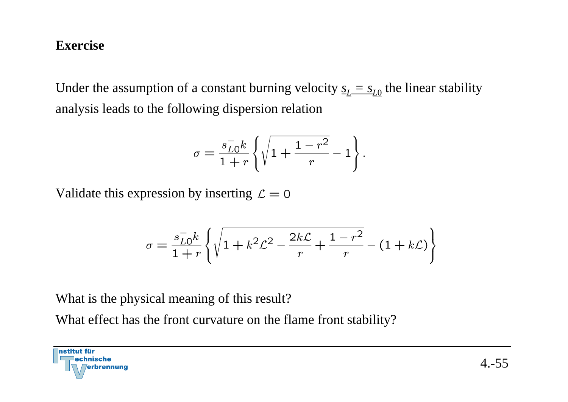#### **Exercise**

Under the assumption of a constant burning velocity  $\underline{s}_L = \underline{s}_{L0}$  the linear stability analysis leads to the following dispersion relation

$$
\sigma = \frac{s_{LO}^{-}k}{1+r} \left\{ \sqrt{1 + \frac{1-r^2}{r}} - 1 \right\}.
$$

Validate this expression by inserting  $\mathcal{L} = 0$ 

$$
\sigma = \frac{s_{L0}^{-}k}{1+r} \left\{ \sqrt{1 + k^2 \mathcal{L}^2 - \frac{2k\mathcal{L}}{r} + \frac{1-r^2}{r}} - (1 + k\mathcal{L}) \right\}
$$

What is the physical meaning of this result?

What effect has the front curvature on the flame front stability?

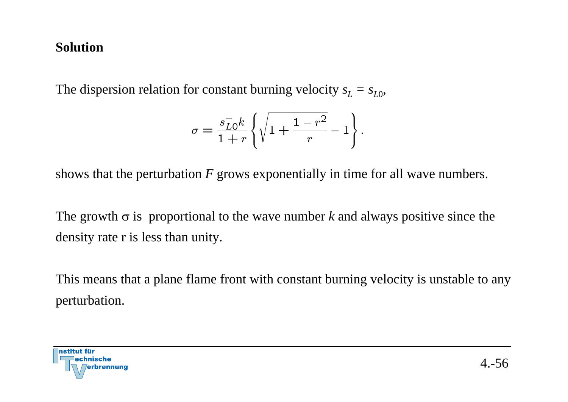#### **Solution**

The dispersion relation for constant burning velocity  $s_L = s_{L0}$ ,

$$
\sigma = \frac{s_{L0}^-k}{1+r}\left\{\sqrt{1+\frac{1-r^2}{r}}-1\right\}.
$$

shows that the perturbation *F* grows exponentially in time for all wave numbers.

The growth  $\sigma$  is proportional to the wave number *k* and always positive since the density rate r is less than unity.

This means that a plane flame front with constant burning velocity is unstable to any perturbation.